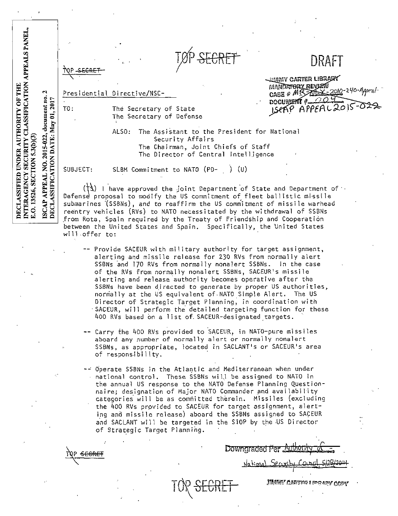| PEALS PANEI         |                                                  |                                                                                                                                                                                                                                                                                                                  |                                                    | TØP <del>SECRET</del> | DRAFT                                      |
|---------------------|--------------------------------------------------|------------------------------------------------------------------------------------------------------------------------------------------------------------------------------------------------------------------------------------------------------------------------------------------------------------------|----------------------------------------------------|-----------------------|--------------------------------------------|
| HHL<br><b>TROET</b> | $\mathbf{\mathcal{L}}$<br>g<br>2017<br>$c$ ument |                                                                                                                                                                                                                                                                                                                  | Presidential Directive/NSC-                        |                       | - Jumny Carter Library<br>MANDATORY REVIEW |
|                     |                                                  | TO.                                                                                                                                                                                                                                                                                                              | The Secretary of State<br>The Secretary of Defense |                       | CASE & MR 200-240-Appeal                   |
|                     |                                                  | The Assistant to the President for National<br>ALSO:<br>Security Affairs<br>The Chairman, Joint Chiefs of Staff<br>The Director of Central Intelligence                                                                                                                                                          |                                                    |                       |                                            |
|                     |                                                  | SUBJECT:                                                                                                                                                                                                                                                                                                         | SLBM Commitment to NATO (PD-                       | (U)                   |                                            |
| Ξ                   | S                                                | $(\dagger 3)$ I have approved the joint Department of State and Department of :<br>Defense proposal to modify the US commitment of fleet ballistic missile<br>submarines (SSBNs), and to reaffirm the US commitment of missile warhead<br>reentry vehicles (RVs) to NATO necessitated by the withdrawal of SSBNs |                                                    |                       |                                            |

Defense proposal to modify the US commitment of fleet ballistic missile submarines '(SSBNs), and to reaffirm the US commitment of missile warhead reentry vehicles (RVs) to NATO necessitated by the withdrawal of SSBNs .from Rota, Spain required by the Treaty of Friendship and Cooperation between the United States and Spain. Specifically, the United States wi 11 .offer to:

- -- Provide SACEUR with military authority for target assignment, alerting and missile release for 230 RVs from normally alert SSBNs and 170 RVs from normally nonalert SSBNs. In the case of the RVs from normally nonalert SSBNs, SACEUR's missile alerting and release authority becomes operative after the SSBNs have been directed to generate by proper US authorities, normally at the US equivalent of.NATO Simple Alert. The US Director of Strategic Target Planning; in coordination with SACEUR, will perform the detailed targeting function for these 400 RVs based on a list of SACEUR-designated targets.
- -- Carry the 400 RVs provided to SACEUR, in NATO-pure missiles **aboard any number of normally alert or normally nonalert**  SSBNs, as appropriate, located in SACLANT's or SACEUR's area of responsibility.
- -- dperate SSBNs in the Atla~tic and Mediterranean when under national control. These SSBNs will be assigned to NATO in the annual US response to the NATO Defense Planning Questionnaire; designation of Major NATO Commander and availability categories· will be as committed therein. Missiles (excluding the 400 RVs provided to SACEUR for target assignment, alerting and missile release) aboard the SSBNs assigned to SAcEUR and SACLANT will be targeted in the SIOP by the -US Director of Strategic Target Planning.

TOR <del>SECRET</del>

"'

hip SE6RET

Downgraded <del>Per</del>

 $National$ , Security Council, 5/20/204.

nminy Carten Lipolety Copy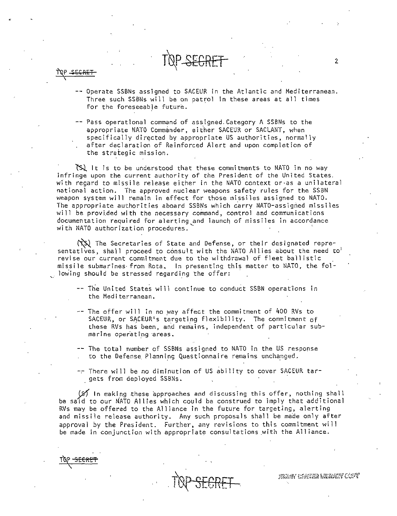- -- Operate SSBNs assigned to SACEUR in the Atlantic and Mediterranean. Three such SSBNs will be on patrol In these areas at all times for the foreseeable future.
- -- Pass operational command of assigned. Category A SSBNs to the appropriate NATO Commander, either SACEUR or SACLANT, when specifically directed by appropriate US authorities, normally after declaration of Reinforced Alert and upon completion of the strategic mission.

 $\infty$  is to be understood that these commitments to NATO in no way infringe upon the current authority of the President of the United States. with regard to missile release either in the NATO context or·as a unilateral national action. The approved nuclear weapons safety rules for the SSBN weapon system will remain in effect for those missiles assigned to NATO. The appropriate authorities aboard SSBNs which carry NATO-assigned missiles will be provi.ded with the necessary command, control and communications documentation required for alerting,and launch of missiles in accordance with NATO authorization procedures.

 $(\mathcal{TS})$  The Secretaries of State and Defense, or their designated representatives, shall proceed to consult with the NATO Allies about the need to<sup>1</sup> revise our current commitment due to the withdrawal of fleet ballistic missile submarines· from Rota. In presenting this matter to NATO, the fol . lowing should be stressed regarding the offer:

- -- The United States will continue to conduct SSBN operations in the Mediterranean.
- $-$  The offer will in no way affect the commitment of 400 RVs to SACEUR, or SACEUR's targeting flexibility. The commitment of these RVs has been, and remains, independent of particular submarine operating areas.
- -- The total number of SSBNs assigned to NATO in the US response to the Defense Planning Questionnaire remains unchanged.
- There will be no diminution of US ability to cover SACEUR targets from deployed SSBNs.

 $(S)$  In making these approaches and discussing this offer, nothing shall be said to our NATO Allies which could be construed to imply that additional RVs may be offered to the Alliance in the future for targeting, alerting and missile release authority. Any such proposals shall be made only after approval by the President. Further, any revisions to this commitment will be made in conjunction with appropriate consultations .with the Alliance.

 $100-2$ 

TOP <del>SECRET</del>  $\mathcal{L}$ 

Brahv Coster Merary Cost

 $\mathfrak{p}$